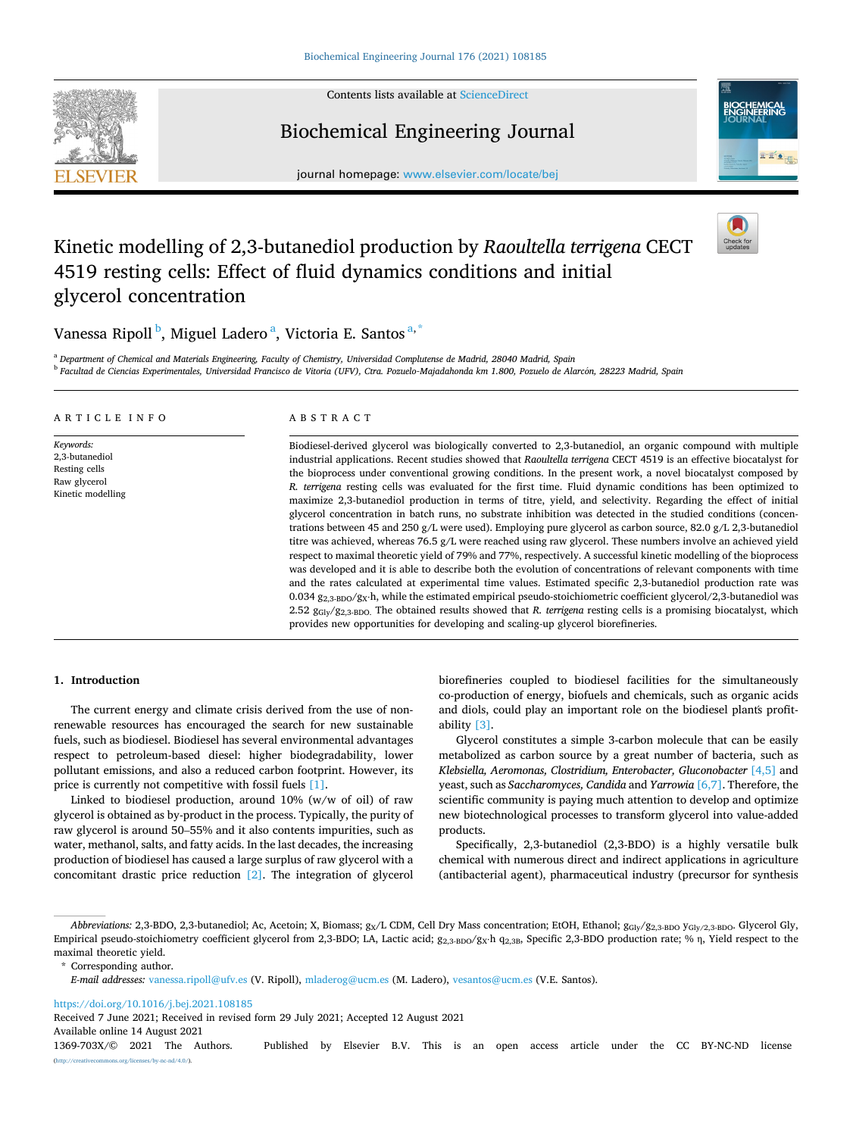

Contents lists available at [ScienceDirect](www.sciencedirect.com/science/journal/1369703X)

# Biochemical Engineering Journal



journal homepage: [www.elsevier.com/locate/bej](https://www.elsevier.com/locate/bej)

# Kinetic modelling of 2,3-butanediol production by *Raoultella terrigena* CECT 4519 resting cells: Effect of fluid dynamics conditions and initial glycerol concentration



Vanessa Ripoll <sup>b</sup>, Miguel Ladero <sup>a</sup>, Victoria E. Santos <sup>a, \*</sup>

<sup>a</sup> *Department of Chemical and Materials Engineering, Faculty of Chemistry, Universidad Complutense de Madrid, 28040 Madrid, Spain* <sup>b</sup> Facultad de Ciencias Experimentales, Universidad Francisco de Vitoria (UFV), Ctra. Pozuelo-Majadahonda km 1.800, Pozuelo de Alarcón, 28223 Madrid, Spain

| ARTICLE INFO                                                                      | ABSTRACT                                                                                                                                                                                                                                                                                                                                                                                                                                                                                                                                                                                                                                                                                                                                                                                                                                                                                                                                                                                                                                                                                                                                                                                                                                                                                                                                                                                                                                                                                                                                                                                                                                                 |  |  |  |
|-----------------------------------------------------------------------------------|----------------------------------------------------------------------------------------------------------------------------------------------------------------------------------------------------------------------------------------------------------------------------------------------------------------------------------------------------------------------------------------------------------------------------------------------------------------------------------------------------------------------------------------------------------------------------------------------------------------------------------------------------------------------------------------------------------------------------------------------------------------------------------------------------------------------------------------------------------------------------------------------------------------------------------------------------------------------------------------------------------------------------------------------------------------------------------------------------------------------------------------------------------------------------------------------------------------------------------------------------------------------------------------------------------------------------------------------------------------------------------------------------------------------------------------------------------------------------------------------------------------------------------------------------------------------------------------------------------------------------------------------------------|--|--|--|
| Keywords:<br>2,3-butanediol<br>Resting cells<br>Raw glycerol<br>Kinetic modelling | Biodiesel-derived glycerol was biologically converted to 2,3-butanediol, an organic compound with multiple<br>industrial applications. Recent studies showed that Raoultella terrigena CECT 4519 is an effective biocatalyst for<br>the bioprocess under conventional growing conditions. In the present work, a novel biocatalyst composed by<br>R, terrigena resting cells was evaluated for the first time. Fluid dynamic conditions has been optimized to<br>maximize 2,3-butanediol production in terms of titre, yield, and selectivity. Regarding the effect of initial<br>glycerol concentration in batch runs, no substrate inhibition was detected in the studied conditions (concen-<br>trations between 45 and 250 g/L were used). Employing pure glycerol as carbon source, 82.0 g/L 2,3-butanediol<br>titre was achieved, whereas 76.5 g/L were reached using raw glycerol. These numbers involve an achieved yield<br>respect to maximal theoretic yield of 79% and 77%, respectively. A successful kinetic modelling of the bioprocess<br>was developed and it is able to describe both the evolution of concentrations of relevant components with time<br>and the rates calculated at experimental time values. Estimated specific 2,3-butanediol production rate was<br>0.034 $g_{2,3\text{-BDO}}/g_X$ h, while the estimated empirical pseudo-stoichiometric coefficient glycerol/2,3-butanediol was<br>2.52 $g_{\text{Gly}}/g_{2.3\text{-BDO}}$ . The obtained results showed that R, terrigena resting cells is a promising biocatalyst, which<br>provides new opportunities for developing and scaling-up glycerol biorefineries. |  |  |  |

#### **1. Introduction**

The current energy and climate crisis derived from the use of nonrenewable resources has encouraged the search for new sustainable fuels, such as biodiesel. Biodiesel has several environmental advantages respect to petroleum-based diesel: higher biodegradability, lower pollutant emissions, and also a reduced carbon footprint. However, its price is currently not competitive with fossil fuels [\[1\]](#page-6-0).

Linked to biodiesel production, around 10% (w/w of oil) of raw glycerol is obtained as by-product in the process. Typically, the purity of raw glycerol is around 50–55% and it also contents impurities, such as water, methanol, salts, and fatty acids. In the last decades, the increasing production of biodiesel has caused a large surplus of raw glycerol with a concomitant drastic price reduction [\[2\]](#page-6-0). The integration of glycerol biorefineries coupled to biodiesel facilities for the simultaneously co-production of energy, biofuels and chemicals, such as organic acids and diols, could play an important role on the biodiesel plant's profitability [\[3\].](#page-6-0)

Glycerol constitutes a simple 3-carbon molecule that can be easily metabolized as carbon source by a great number of bacteria, such as *Klebsiella, Aeromonas, Clostridium, Enterobacter, Gluconobacter* [\[4,5\]](#page-6-0) and yeast, such as *Saccharomyces, Candida* and *Yarrowia* [\[6,7\].](#page-7-0) Therefore, the scientific community is paying much attention to develop and optimize new biotechnological processes to transform glycerol into value-added products.

Specifically, 2,3-butanediol (2,3-BDO) is a highly versatile bulk chemical with numerous direct and indirect applications in agriculture (antibacterial agent), pharmaceutical industry (precursor for synthesis

\* Corresponding author.

<https://doi.org/10.1016/j.bej.2021.108185>

Received 7 June 2021; Received in revised form 29 July 2021; Accepted 12 August 2021

Available online 14 August 2021

*Abbreviations:* 2,3-BDO, 2,3-butanediol; Ac, Acetoin; X, Biomass; gX/L CDM, Cell Dry Mass concentration; EtOH, Ethanol; gGly/g2,3-BDO yGly/2,3-BDO. Glycerol Gly, Empirical pseudo-stoichiometry coefficient glycerol from 2,3-BDO; LA, Lactic acid; g<sub>2,3-BDO</sub>/g<sub>X</sub>·h q<sub>2,3B</sub>, Specific 2,3-BDO production rate; % η, Yield respect to the maximal theoretic yield.

*E-mail addresses:* [vanessa.ripoll@ufv.es](mailto:vanessa.ripoll@ufv.es) (V. Ripoll), [mladerog@ucm.es](mailto:mladerog@ucm.es) (M. Ladero), [vesantos@ucm.es](mailto:vesantos@ucm.es) (V.E. Santos).

<sup>1369-703</sup>X/© 2021 The Authors. Published by Elsevier B.V. This is an open access article under the CC BY-NC-ND license [\(http://creativecommons.org/licenses/by-nc-nd/4.0/\)](http://creativecommons.org/licenses/by-nc-nd/4.0/).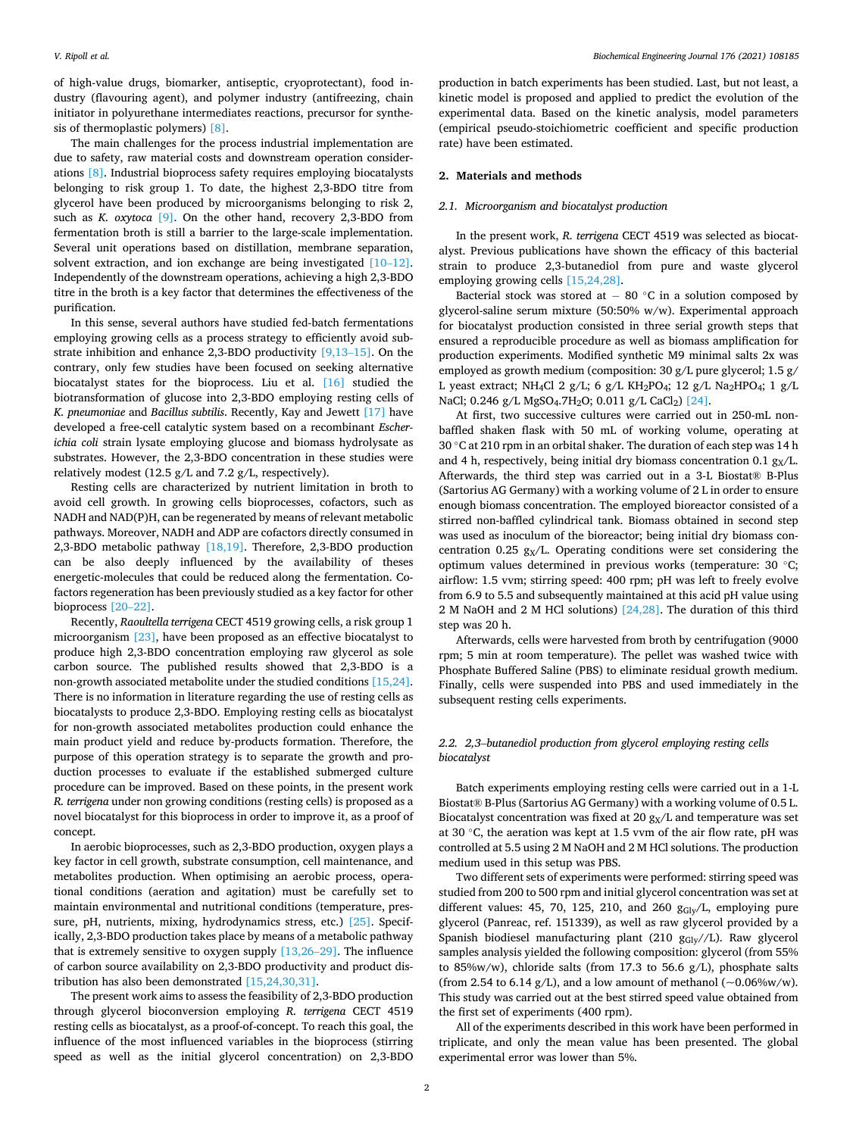of high-value drugs, biomarker, antiseptic, cryoprotectant), food industry (flavouring agent), and polymer industry (antifreezing, chain initiator in polyurethane intermediates reactions, precursor for synthesis of thermoplastic polymers) [\[8\].](#page-7-0)

The main challenges for the process industrial implementation are due to safety, raw material costs and downstream operation considerations [\[8\].](#page-7-0) Industrial bioprocess safety requires employing biocatalysts belonging to risk group 1. To date, the highest 2,3-BDO titre from glycerol have been produced by microorganisms belonging to risk 2, such as *K. oxytoca* [\[9\]](#page-7-0). On the other hand, recovery 2,3-BDO from fermentation broth is still a barrier to the large-scale implementation. Several unit operations based on distillation, membrane separation, solvent extraction, and ion exchange are being investigated [\[10](#page-7-0)–12]. Independently of the downstream operations, achieving a high 2,3-BDO titre in the broth is a key factor that determines the effectiveness of the purification.

In this sense, several authors have studied fed-batch fermentations employing growing cells as a process strategy to efficiently avoid substrate inhibition and enhance 2,3-BDO productivity [\[9,13](#page-7-0)–15]. On the contrary, only few studies have been focused on seeking alternative biocatalyst states for the bioprocess. Liu et al. [\[16\]](#page-7-0) studied the biotransformation of glucose into 2,3-BDO employing resting cells of *K. pneumoniae* and *Bacillus subtilis*. Recently, Kay and Jewett [\[17\]](#page-7-0) have developed a free-cell catalytic system based on a recombinant *Escherichia coli* strain lysate employing glucose and biomass hydrolysate as substrates. However, the 2,3-BDO concentration in these studies were relatively modest (12.5 g/L and 7.2 g/L, respectively).

Resting cells are characterized by nutrient limitation in broth to avoid cell growth. In growing cells bioprocesses, cofactors, such as NADH and NAD(P)H, can be regenerated by means of relevant metabolic pathways. Moreover, NADH and ADP are cofactors directly consumed in 2,3-BDO metabolic pathway [\[18,19\]](#page-7-0). Therefore, 2,3-BDO production can be also deeply influenced by the availability of theses energetic-molecules that could be reduced along the fermentation. Cofactors regeneration has been previously studied as a key factor for other bioprocess [20–[22\].](#page-7-0)

Recently, *Raoultella terrigena* CECT 4519 growing cells, a risk group 1 microorganism [\[23\],](#page-7-0) have been proposed as an effective biocatalyst to produce high 2,3-BDO concentration employing raw glycerol as sole carbon source. The published results showed that 2,3-BDO is a non-growth associated metabolite under the studied conditions [\[15,24\]](#page-7-0). There is no information in literature regarding the use of resting cells as biocatalysts to produce 2,3-BDO. Employing resting cells as biocatalyst for non-growth associated metabolites production could enhance the main product yield and reduce by-products formation. Therefore, the purpose of this operation strategy is to separate the growth and production processes to evaluate if the established submerged culture procedure can be improved. Based on these points, in the present work *R. terrigena* under non growing conditions (resting cells) is proposed as a novel biocatalyst for this bioprocess in order to improve it, as a proof of concept.

In aerobic bioprocesses, such as 2,3-BDO production, oxygen plays a key factor in cell growth, substrate consumption, cell maintenance, and metabolites production. When optimising an aerobic process, operational conditions (aeration and agitation) must be carefully set to maintain environmental and nutritional conditions (temperature, pressure, pH, nutrients, mixing, hydrodynamics stress, etc.) [\[25\]](#page-7-0). Specifically, 2,3-BDO production takes place by means of a metabolic pathway that is extremely sensitive to oxygen supply [\[13,26](#page-7-0)–29]. The influence of carbon source availability on 2,3-BDO productivity and product distribution has also been demonstrated [\[15,24,30,31\].](#page-7-0)

The present work aims to assess the feasibility of 2,3-BDO production through glycerol bioconversion employing *R. terrigena* CECT 4519 resting cells as biocatalyst, as a proof-of-concept. To reach this goal, the influence of the most influenced variables in the bioprocess (stirring speed as well as the initial glycerol concentration) on 2,3-BDO

production in batch experiments has been studied. Last, but not least, a kinetic model is proposed and applied to predict the evolution of the experimental data. Based on the kinetic analysis, model parameters (empirical pseudo-stoichiometric coefficient and specific production rate) have been estimated.

## **2. Materials and methods**

### *2.1. Microorganism and biocatalyst production*

In the present work, *R. terrigena* CECT 4519 was selected as biocatalyst. Previous publications have shown the efficacy of this bacterial strain to produce 2,3-butanediol from pure and waste glycerol employing growing cells [\[15,24,28\].](#page-7-0)

Bacterial stock was stored at  $-$  80 °C in a solution composed by glycerol-saline serum mixture (50:50% w/w). Experimental approach for biocatalyst production consisted in three serial growth steps that ensured a reproducible procedure as well as biomass amplification for production experiments. Modified synthetic M9 minimal salts 2x was employed as growth medium (composition: 30 g/L pure glycerol; 1.5 g/ L yeast extract; NH<sub>4</sub>Cl 2 g/L; 6 g/L KH<sub>2</sub>PO<sub>4</sub>; 12 g/L Na<sub>2</sub>HPO<sub>4</sub>; 1 g/L NaCl; 0.246 g/L MgSO<sub>4</sub>.7H<sub>2</sub>O; 0.011 g/L CaCl<sub>2</sub>) [\[24\].](#page-7-0)

At first, two successive cultures were carried out in 250-mL nonbaffled shaken flask with 50 mL of working volume, operating at 30 ◦C at 210 rpm in an orbital shaker. The duration of each step was 14 h and 4 h, respectively, being initial dry biomass concentration 0.1  $g<sub>X</sub>/L$ . Afterwards, the third step was carried out in a 3-L Biostat® B-Plus (Sartorius AG Germany) with a working volume of 2 L in order to ensure enough biomass concentration. The employed bioreactor consisted of a stirred non-baffled cylindrical tank. Biomass obtained in second step was used as inoculum of the bioreactor; being initial dry biomass concentration 0.25  $g_X/L$ . Operating conditions were set considering the optimum values determined in previous works (temperature: 30 ◦C; airflow: 1.5 vvm; stirring speed: 400 rpm; pH was left to freely evolve from 6.9 to 5.5 and subsequently maintained at this acid pH value using 2 M NaOH and 2 M HCl solutions) [\[24,28\]](#page-7-0). The duration of this third step was 20 h.

Afterwards, cells were harvested from broth by centrifugation (9000 rpm; 5 min at room temperature). The pellet was washed twice with Phosphate Buffered Saline (PBS) to eliminate residual growth medium. Finally, cells were suspended into PBS and used immediately in the subsequent resting cells experiments.

# *2.2. 2,3*–*butanediol production from glycerol employing resting cells biocatalyst*

Batch experiments employing resting cells were carried out in a 1-L Biostat® B-Plus (Sartorius AG Germany) with a working volume of 0.5 L. Biocatalyst concentration was fixed at 20  $g<sub>X</sub>/L$  and temperature was set at 30 ◦C, the aeration was kept at 1.5 vvm of the air flow rate, pH was controlled at 5.5 using 2 M NaOH and 2 M HCl solutions. The production medium used in this setup was PBS.

Two different sets of experiments were performed: stirring speed was studied from 200 to 500 rpm and initial glycerol concentration was set at different values: 45, 70, 125, 210, and 260  $g_{\text{Gly}}/L$ , employing pure glycerol (Panreac, ref. 151339), as well as raw glycerol provided by a Spanish biodiesel manufacturing plant (210  $g_{\text{Gly}}/L$ ). Raw glycerol samples analysis yielded the following composition: glycerol (from 55% to 85%w/w), chloride salts (from 17.3 to 56.6 g/L), phosphate salts (from 2.54 to 6.14 g/L), and a low amount of methanol ( $\sim$ 0.06%w/w). This study was carried out at the best stirred speed value obtained from the first set of experiments (400 rpm).

All of the experiments described in this work have been performed in triplicate, and only the mean value has been presented. The global experimental error was lower than 5%.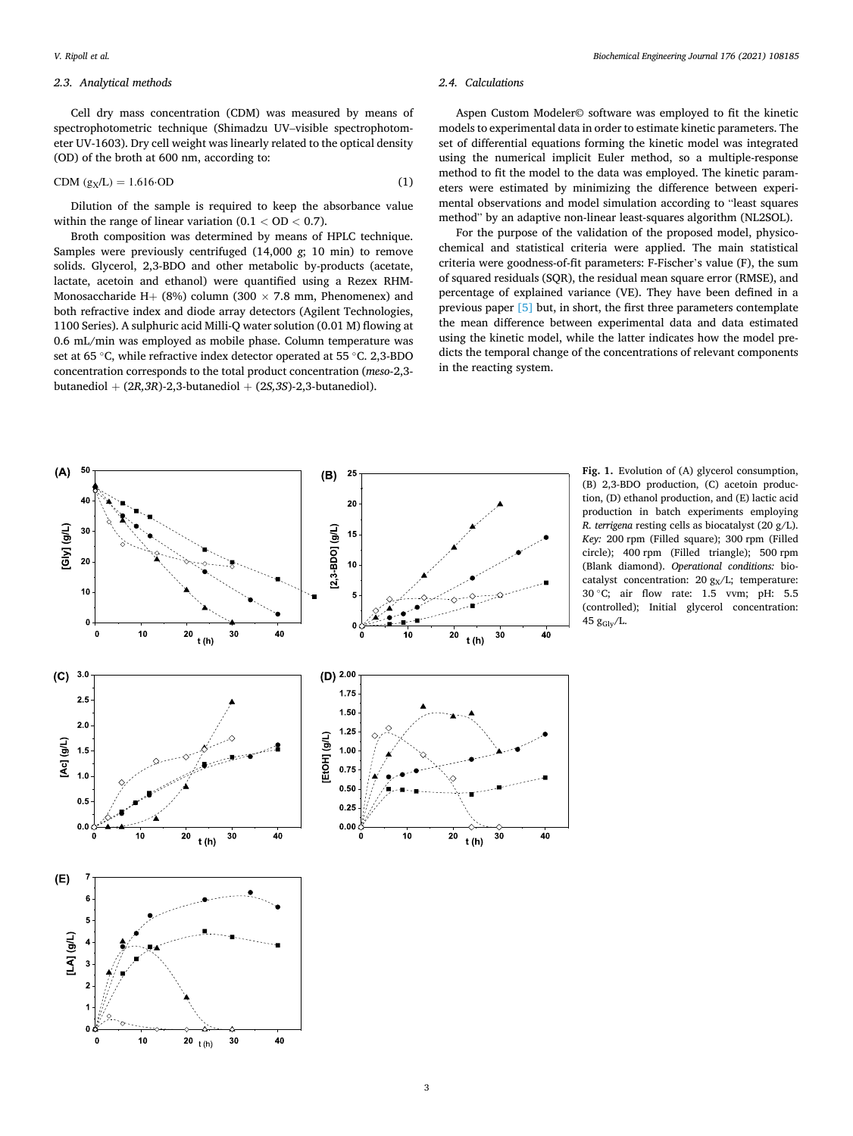#### *Biochemical Engineering Journal 176 (2021) 108185*

## <span id="page-2-0"></span>*2.3. Analytical methods*

Cell dry mass concentration (CDM) was measured by means of spectrophotometric technique (Shimadzu UV–visible spectrophotometer UV-1603). Dry cell weight was linearly related to the optical density (OD) of the broth at 600 nm, according to:

$$
CDM (g_X/L) = 1.616 \cdot OD \tag{1}
$$

Dilution of the sample is required to keep the absorbance value within the range of linear variation (0.1 *<* OD *<* 0.7).

Broth composition was determined by means of HPLC technique. Samples were previously centrifuged (14,000 *g*; 10 min) to remove solids. Glycerol, 2,3-BDO and other metabolic by-products (acetate, lactate, acetoin and ethanol) were quantified using a Rezex RHM-Monosaccharide H+ (8%) column (300  $\times$  7.8 mm, Phenomenex) and both refractive index and diode array detectors (Agilent Technologies, 1100 Series). A sulphuric acid Milli-Q water solution (0.01 M) flowing at 0.6 mL/min was employed as mobile phase. Column temperature was set at 65 ◦C, while refractive index detector operated at 55 ◦C. 2,3-BDO concentration corresponds to the total product concentration (*meso*-2,3 butanediol + (2*R,3R*)-2,3-butanediol + (2*S,3S*)-2,3-butanediol).

#### *2.4. Calculations*

Aspen Custom Modeler© software was employed to fit the kinetic models to experimental data in order to estimate kinetic parameters. The set of differential equations forming the kinetic model was integrated using the numerical implicit Euler method, so a multiple-response method to fit the model to the data was employed. The kinetic parameters were estimated by minimizing the difference between experimental observations and model simulation according to "least squares method" by an adaptive non-linear least-squares algorithm (NL2SOL).

For the purpose of the validation of the proposed model, physicochemical and statistical criteria were applied. The main statistical criteria were goodness-of-fit parameters: F-Fischer's value (F), the sum of squared residuals (SQR), the residual mean square error (RMSE), and percentage of explained variance (VE). They have been defined in a previous paper [\[5\]](#page-6-0) but, in short, the first three parameters contemplate the mean difference between experimental data and data estimated using the kinetic model, while the latter indicates how the model predicts the temporal change of the concentrations of relevant components in the reacting system.



**Fig. 1.** Evolution of (A) glycerol consumption, (B) 2,3-BDO production, (C) acetoin production, (D) ethanol production, and (E) lactic acid production in batch experiments employing *R. terrigena* resting cells as biocatalyst (20 g/L). *Key:* 200 rpm (Filled square); 300 rpm (Filled circle); 400 rpm (Filled triangle); 500 rpm (Blank diamond). *Operational conditions:* biocatalyst concentration:  $20 g<sub>X</sub>/L$ ; temperature: 30 ◦C; air flow rate: 1.5 vvm; pH: 5.5 (controlled); Initial glycerol concentration: 45  $g_{\text{Gly}}/L$ .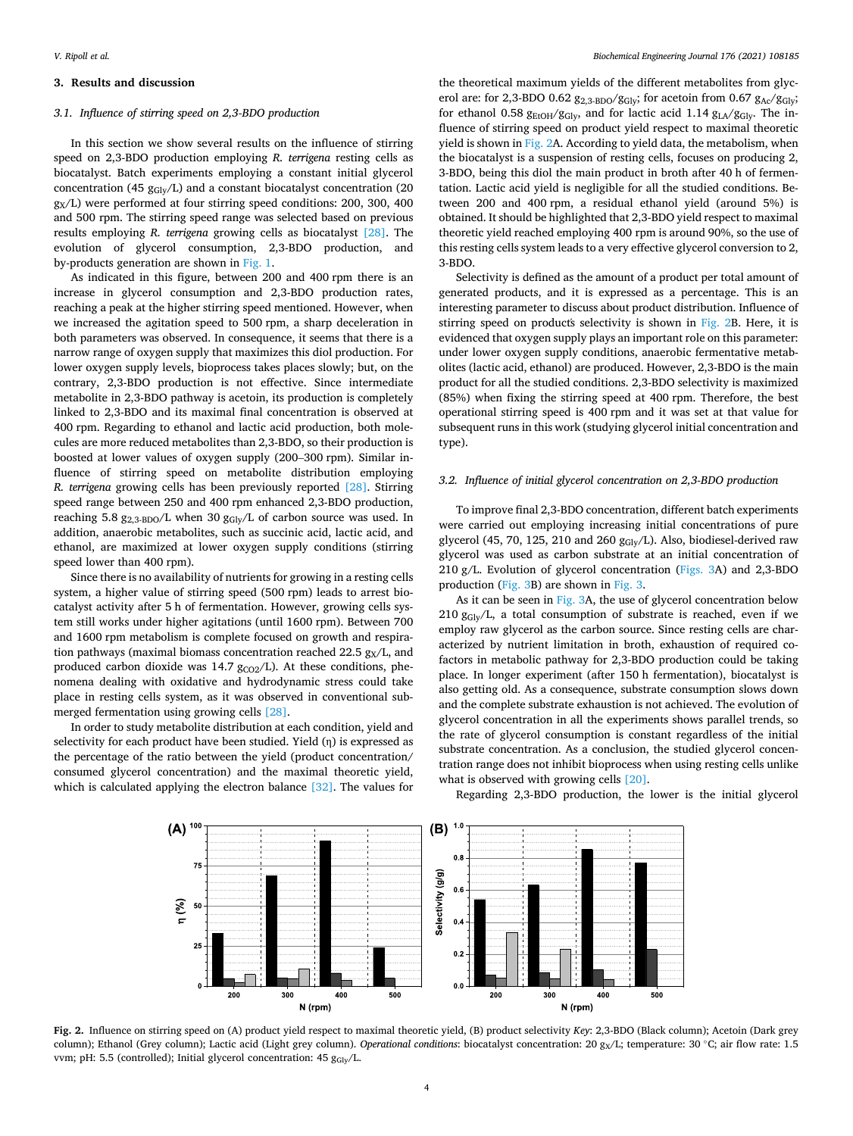## **3. Results and discussion**

### *3.1. Influence of stirring speed on 2,3-BDO production*

In this section we show several results on the influence of stirring speed on 2,3-BDO production employing *R. terrigena* resting cells as biocatalyst. Batch experiments employing a constant initial glycerol concentration (45  $g<sub>Glv</sub>/L$ ) and a constant biocatalyst concentration (20  $g<sub>X</sub>/L$ ) were performed at four stirring speed conditions: 200, 300, 400 and 500 rpm. The stirring speed range was selected based on previous results employing *R. terrigena* growing cells as biocatalyst [\[28\].](#page-7-0) The evolution of glycerol consumption, 2,3-BDO production, and by-products generation are shown in [Fig. 1.](#page-2-0)

As indicated in this figure, between 200 and 400 rpm there is an increase in glycerol consumption and 2,3-BDO production rates, reaching a peak at the higher stirring speed mentioned. However, when we increased the agitation speed to 500 rpm, a sharp deceleration in both parameters was observed. In consequence, it seems that there is a narrow range of oxygen supply that maximizes this diol production. For lower oxygen supply levels, bioprocess takes places slowly; but, on the contrary, 2,3-BDO production is not effective. Since intermediate metabolite in 2,3-BDO pathway is acetoin, its production is completely linked to 2,3-BDO and its maximal final concentration is observed at 400 rpm. Regarding to ethanol and lactic acid production, both molecules are more reduced metabolites than 2,3-BDO, so their production is boosted at lower values of oxygen supply (200–300 rpm). Similar influence of stirring speed on metabolite distribution employing *R. terrigena* growing cells has been previously reported [\[28\]](#page-7-0). Stirring speed range between 250 and 400 rpm enhanced 2,3-BDO production, reaching 5.8  $g_{2.3-BDO}/L$  when 30  $g_{Glv}/L$  of carbon source was used. In addition, anaerobic metabolites, such as succinic acid, lactic acid, and ethanol, are maximized at lower oxygen supply conditions (stirring speed lower than 400 rpm).

Since there is no availability of nutrients for growing in a resting cells system, a higher value of stirring speed (500 rpm) leads to arrest biocatalyst activity after 5 h of fermentation. However, growing cells system still works under higher agitations (until 1600 rpm). Between 700 and 1600 rpm metabolism is complete focused on growth and respiration pathways (maximal biomass concentration reached 22.5  $g<sub>X</sub>/L$ , and produced carbon dioxide was 14.7  $g_{CO2}/L$ ). At these conditions, phenomena dealing with oxidative and hydrodynamic stress could take place in resting cells system, as it was observed in conventional submerged fermentation using growing cells [\[28\].](#page-7-0)

In order to study metabolite distribution at each condition, yield and selectivity for each product have been studied. Yield (η) is expressed as the percentage of the ratio between the yield (product concentration/ consumed glycerol concentration) and the maximal theoretic yield, which is calculated applying the electron balance [\[32\].](#page-7-0) The values for

the theoretical maximum yields of the different metabolites from glycerol are: for 2,3-BDO 0.62  $g_{2,3\text{-BDO}}/g_{\text{Gly}}$ ; for acetoin from 0.67  $g_{\text{Ac}}/g_{\text{Gly}}$ ; for ethanol 0.58  $g_{EtOH}/g_{Gly}$ , and for lactic acid 1.14  $g_{LA}/g_{Glv}$ . The influence of stirring speed on product yield respect to maximal theoretic yield is shown in Fig. 2A. According to yield data, the metabolism, when the biocatalyst is a suspension of resting cells, focuses on producing 2, 3-BDO, being this diol the main product in broth after 40 h of fermentation. Lactic acid yield is negligible for all the studied conditions. Between 200 and 400 rpm, a residual ethanol yield (around 5%) is obtained. It should be highlighted that 2,3-BDO yield respect to maximal theoretic yield reached employing 400 rpm is around 90%, so the use of this resting cells system leads to a very effective glycerol conversion to 2, 3-BDO.

Selectivity is defined as the amount of a product per total amount of generated products, and it is expressed as a percentage. This is an interesting parameter to discuss about product distribution. Influence of stirring speed on product's selectivity is shown in Fig. 2B. Here, it is evidenced that oxygen supply plays an important role on this parameter: under lower oxygen supply conditions, anaerobic fermentative metabolites (lactic acid, ethanol) are produced. However, 2,3-BDO is the main product for all the studied conditions. 2,3-BDO selectivity is maximized (85%) when fixing the stirring speed at 400 rpm. Therefore, the best operational stirring speed is 400 rpm and it was set at that value for subsequent runs in this work (studying glycerol initial concentration and type).

#### *3.2. Influence of initial glycerol concentration on 2,3-BDO production*

To improve final 2,3-BDO concentration, different batch experiments were carried out employing increasing initial concentrations of pure glycerol (45, 70, 125, 210 and 260  $g_{\text{Gly}}/L$ ). Also, biodiesel-derived raw glycerol was used as carbon substrate at an initial concentration of 210 g/L. Evolution of glycerol concentration [\(Figs. 3](#page-4-0)A) and 2,3-BDO production ([Fig. 3B](#page-4-0)) are shown in [Fig. 3.](#page-4-0)

As it can be seen in [Fig. 3A](#page-4-0), the use of glycerol concentration below 210  $g_{\text{Glv}}/L$ , a total consumption of substrate is reached, even if we employ raw glycerol as the carbon source. Since resting cells are characterized by nutrient limitation in broth, exhaustion of required cofactors in metabolic pathway for 2,3-BDO production could be taking place. In longer experiment (after 150 h fermentation), biocatalyst is also getting old. As a consequence, substrate consumption slows down and the complete substrate exhaustion is not achieved. The evolution of glycerol concentration in all the experiments shows parallel trends, so the rate of glycerol consumption is constant regardless of the initial substrate concentration. As a conclusion, the studied glycerol concentration range does not inhibit bioprocess when using resting cells unlike what is observed with growing cells [\[20\].](#page-7-0)



Regarding 2,3-BDO production, the lower is the initial glycerol

**Fig. 2.** Influence on stirring speed on (A) product yield respect to maximal theoretic yield, (B) product selectivity *Key*: 2,3-BDO (Black column); Acetoin (Dark grey column); Ethanol (Grey column); Lactic acid (Light grey column). *Operational conditions*: biocatalyst concentration: 20 g<sub>X</sub>/L; temperature: 30 ℃; air flow rate: 1.5 vvm; pH: 5.5 (controlled); Initial glycerol concentration: 45  $g_{\text{Glv}}/L$ .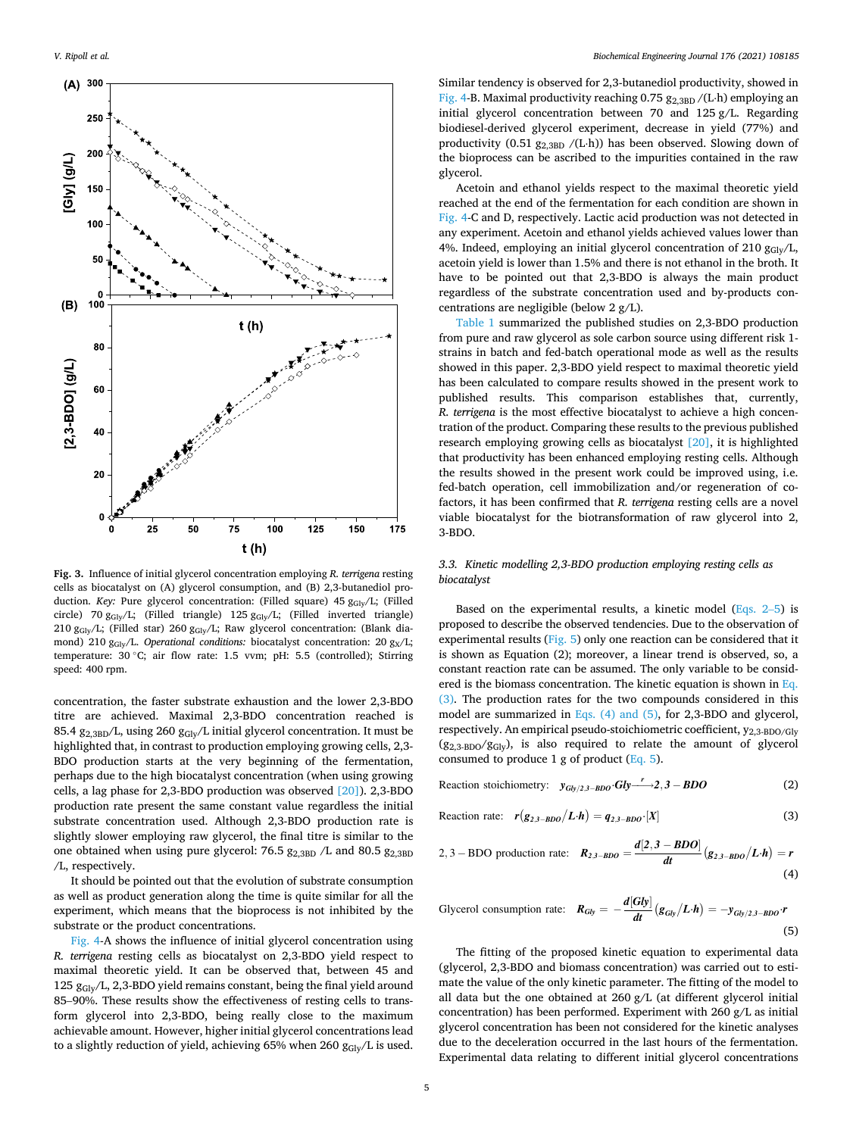<span id="page-4-0"></span>

**Fig. 3.** Influence of initial glycerol concentration employing *R. terrigena* resting cells as biocatalyst on (A) glycerol consumption, and (B) 2,3-butanediol production. *Key*: Pure glycerol concentration: (Filled square) 45 g<sub>Gly</sub>/L; (Filled circle) 70 g<sub>Gly</sub>/L; (Filled triangle) 125 g<sub>Gly</sub>/L; (Filled inverted triangle) 210 gGly/L; (Filled star) 260 gGly/L; Raw glycerol concentration: (Blank diamond) 210 g<sub>Gly</sub>/L. *Operational conditions:* biocatalyst concentration: 20 g<sub>X</sub>/L; temperature: 30 °C; air flow rate: 1.5 vvm; pH: 5.5 (controlled); Stirring speed: 400 rpm.

concentration, the faster substrate exhaustion and the lower 2,3-BDO titre are achieved. Maximal 2,3-BDO concentration reached is 85.4 g<sub>2,3BD</sub>/L, using 260 g<sub>Gly</sub>/L initial glycerol concentration. It must be highlighted that, in contrast to production employing growing cells, 2,3- BDO production starts at the very beginning of the fermentation, perhaps due to the high biocatalyst concentration (when using growing cells, a lag phase for 2,3-BDO production was observed [\[20\]](#page-7-0)). 2,3-BDO production rate present the same constant value regardless the initial substrate concentration used. Although 2,3-BDO production rate is slightly slower employing raw glycerol, the final titre is similar to the one obtained when using pure glycerol: 76.5  $g_{2.3BD}$  /L and 80.5  $g_{2.3BD}$ /L, respectively.

It should be pointed out that the evolution of substrate consumption as well as product generation along the time is quite similar for all the experiment, which means that the bioprocess is not inhibited by the substrate or the product concentrations.

[Fig. 4-](#page-5-0)A shows the influence of initial glycerol concentration using *R. terrigena* resting cells as biocatalyst on 2,3-BDO yield respect to maximal theoretic yield. It can be observed that, between 45 and 125  $g_{\text{Gly}}/L$ , 2,3-BDO yield remains constant, being the final yield around 85–90%. These results show the effectiveness of resting cells to transform glycerol into 2,3-BDO, being really close to the maximum achievable amount. However, higher initial glycerol concentrations lead to a slightly reduction of yield, achieving 65% when 260  $g_{\text{Glv}}/L$  is used.

Similar tendency is observed for 2,3-butanediol productivity, showed in [Fig. 4-](#page-5-0)B. Maximal productivity reaching 0.75  $g_{2,3BD}$  /(L⋅h) employing an initial glycerol concentration between 70 and 125 g/L. Regarding biodiesel-derived glycerol experiment, decrease in yield (77%) and productivity (0.51  $g_{2,3BD}$  /(L⋅h)) has been observed. Slowing down of the bioprocess can be ascribed to the impurities contained in the raw glycerol.

Acetoin and ethanol yields respect to the maximal theoretic yield reached at the end of the fermentation for each condition are shown in [Fig. 4](#page-5-0)-C and D, respectively. Lactic acid production was not detected in any experiment. Acetoin and ethanol yields achieved values lower than 4%. Indeed, employing an initial glycerol concentration of 210  $g_{\text{Glv}}/L$ , acetoin yield is lower than 1.5% and there is not ethanol in the broth. It have to be pointed out that 2,3-BDO is always the main product regardless of the substrate concentration used and by-products concentrations are negligible (below 2 g/L).

[Table 1](#page-5-0) summarized the published studies on 2,3-BDO production from pure and raw glycerol as sole carbon source using different risk 1 strains in batch and fed-batch operational mode as well as the results showed in this paper. 2,3-BDO yield respect to maximal theoretic yield has been calculated to compare results showed in the present work to published results. This comparison establishes that, currently, *R. terrigena* is the most effective biocatalyst to achieve a high concentration of the product. Comparing these results to the previous published research employing growing cells as biocatalyst [\[20\],](#page-7-0) it is highlighted that productivity has been enhanced employing resting cells. Although the results showed in the present work could be improved using, i.e. fed-batch operation, cell immobilization and/or regeneration of cofactors, it has been confirmed that *R. terrigena* resting cells are a novel viable biocatalyst for the biotransformation of raw glycerol into 2, 3-BDO.

# *3.3. Kinetic modelling 2,3-BDO production employing resting cells as biocatalyst*

Based on the experimental results, a kinetic model (Eqs. 2–5) is proposed to describe the observed tendencies. Due to the observation of experimental results [\(Fig. 5\)](#page-6-0) only one reaction can be considered that it is shown as Equation (2); moreover, a linear trend is observed, so, a constant reaction rate can be assumed. The only variable to be considered is the biomass concentration. The kinetic equation is shown in Eq. (3). The production rates for the two compounds considered in this model are summarized in Eqs. (4) and (5), for 2,3-BDO and glycerol, respectively. An empirical pseudo-stoichiometric coefficient,  $y_{2,3-BDO/Glv}$  $(g_{2,3\text{-BDO}}/g_{\text{Gly}})$ , is also required to relate the amount of glycerol consumed to produce 1 g of product  $(Eq. 5)$ .

Reaction stoichiometry:  $y_{Gly/2,3-BDO} Gly \xrightarrow{r} 2,3-BDO$  (2)

$$
\text{Reaction rate: } \mathbf{r}(\mathbf{g}_{2,3-BDO} | \mathbf{L} \cdot \mathbf{h}) = \mathbf{q}_{2,3-BDO} \cdot [X] \tag{3}
$$

2,3 - BDO production rate: 
$$
R_{2,3-BDO} = \frac{d[2,3-BDO]}{dt} (g_{2,3-BDO}/L \cdot h) = r
$$
\n(4)

Glycerol consumption rate: 
$$
R_{Gly} = -\frac{d[Gly]}{dt} (g_{Gly}/L \cdot h) = -y_{Gly/2,3-BDO} \cdot r
$$
\n(5)

The fitting of the proposed kinetic equation to experimental data (glycerol, 2,3-BDO and biomass concentration) was carried out to estimate the value of the only kinetic parameter. The fitting of the model to all data but the one obtained at 260 g/L (at different glycerol initial concentration) has been performed. Experiment with 260 g/L as initial glycerol concentration has been not considered for the kinetic analyses due to the deceleration occurred in the last hours of the fermentation. Experimental data relating to different initial glycerol concentrations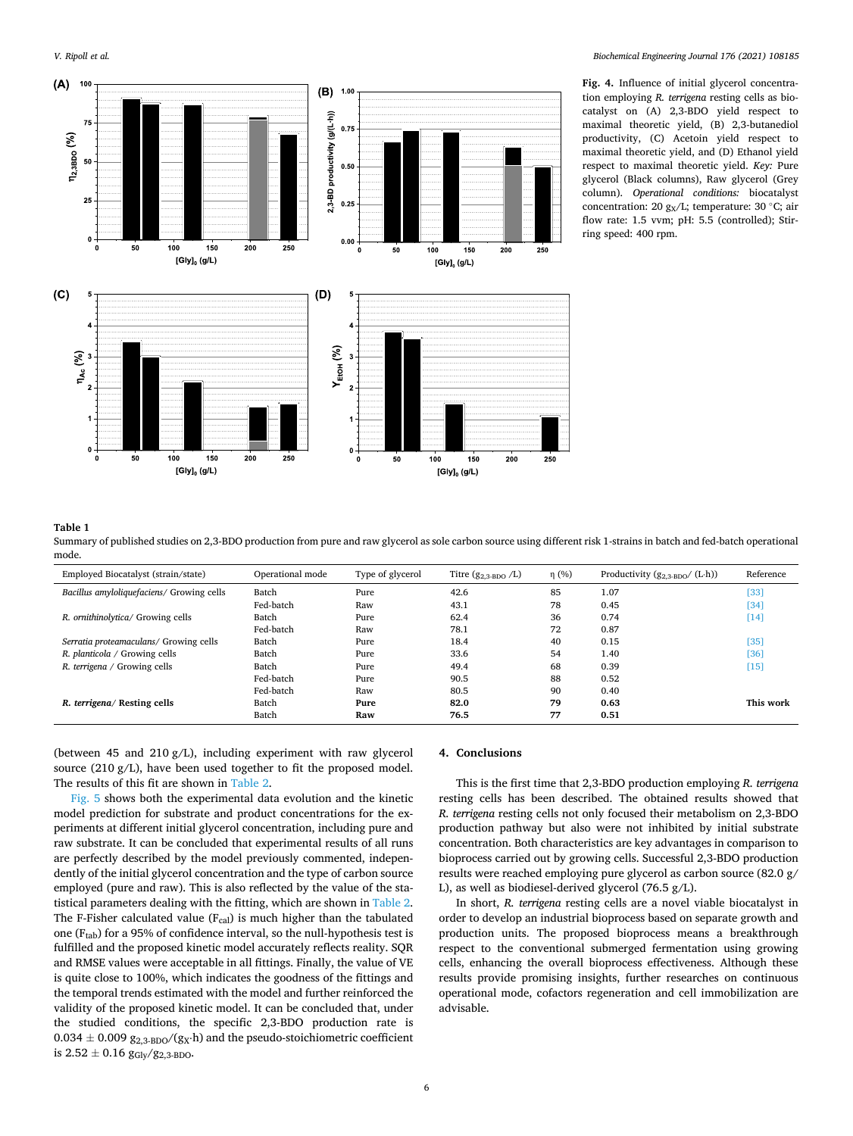<span id="page-5-0"></span>

**Fig. 4.** Influence of initial glycerol concentration employing *R. terrigena* resting cells as biocatalyst on (A) 2,3-BDO yield respect to maximal theoretic yield, (B) 2,3-butanediol productivity, (C) Acetoin yield respect to maximal theoretic yield, and (D) Ethanol yield respect to maximal theoretic yield. *Key:* Pure glycerol (Black columns), Raw glycerol (Grey column). *Operational conditions:* biocatalyst concentration: 20 g<sub>x</sub>/L; temperature: 30 °C; air flow rate: 1.5 vvm; pH: 5.5 (controlled); Stirring speed: 400 rpm.

#### **Table 1**

Summary of published studies on 2,3-BDO production from pure and raw glycerol as sole carbon source using different risk 1-strains in batch and fed-batch operational mode.

| Employed Biocatalyst (strain/state)       | Operational mode | Type of glycerol | Titre $(g_{2.3-BDO} / L)$ | $\eta$ (%) | Productivity $(g_{2.3-BDO}/(L \cdot h))$ | Reference |
|-------------------------------------------|------------------|------------------|---------------------------|------------|------------------------------------------|-----------|
| Bacillus amyloliquefaciens/ Growing cells | Batch            | Pure             | 42.6                      | 85         | 1.07                                     | [33]      |
|                                           | Fed-batch        | Raw              | 43.1                      | 78         | 0.45                                     | [34]      |
| R. ornithinolytica/ Growing cells         | Batch            | Pure             | 62.4                      | 36         | 0.74                                     | $[14]$    |
|                                           | Fed-batch        | Raw              | 78.1                      | 72         | 0.87                                     |           |
| Serratia proteamaculans/ Growing cells    | Batch            | Pure             | 18.4                      | 40         | 0.15                                     | [35]      |
| R. planticola / Growing cells             | Batch            | Pure             | 33.6                      | 54         | 1.40                                     | [36]      |
| R. terrigena / Growing cells              | Batch            | Pure             | 49.4                      | 68         | 0.39                                     | $[15]$    |
|                                           | Fed-batch        | Pure             | 90.5                      | 88         | 0.52                                     |           |
|                                           | Fed-batch        | Raw              | 80.5                      | 90         | 0.40                                     |           |
| R. terrigena/ Resting cells               | Batch            | Pure             | 82.0                      | 79         | 0.63                                     | This work |
|                                           | Batch            | Raw              | 76.5                      | 77         | 0.51                                     |           |

(between 45 and 210 g/L), including experiment with raw glycerol source (210 g/L), have been used together to fit the proposed model. The results of this fit are shown in [Table 2.](#page-6-0)

[Fig. 5](#page-6-0) shows both the experimental data evolution and the kinetic model prediction for substrate and product concentrations for the experiments at different initial glycerol concentration, including pure and raw substrate. It can be concluded that experimental results of all runs are perfectly described by the model previously commented, independently of the initial glycerol concentration and the type of carbon source employed (pure and raw). This is also reflected by the value of the statistical parameters dealing with the fitting, which are shown in [Table 2](#page-6-0). The F-Fisher calculated value  $(F_{cal})$  is much higher than the tabulated one (F<sub>tab</sub>) for a 95% of confidence interval, so the null-hypothesis test is fulfilled and the proposed kinetic model accurately reflects reality. SQR and RMSE values were acceptable in all fittings. Finally, the value of VE is quite close to 100%, which indicates the goodness of the fittings and the temporal trends estimated with the model and further reinforced the validity of the proposed kinetic model. It can be concluded that, under the studied conditions, the specific 2,3-BDO production rate is  $0.034 \pm 0.009$   $g_{2,3\text{-BDO}}/(g_X \cdot h)$  and the pseudo-stoichiometric coefficient is  $2.52 \pm 0.16$   $g_{\text{Gly}}/g_{2,3\text{-BDO}}$ .

## **4. Conclusions**

This is the first time that 2,3-BDO production employing *R. terrigena*  resting cells has been described. The obtained results showed that *R. terrigena* resting cells not only focused their metabolism on 2,3-BDO production pathway but also were not inhibited by initial substrate concentration. Both characteristics are key advantages in comparison to bioprocess carried out by growing cells. Successful 2,3-BDO production results were reached employing pure glycerol as carbon source (82.0 g/ L), as well as biodiesel-derived glycerol (76.5 g/L).

In short, *R. terrigena* resting cells are a novel viable biocatalyst in order to develop an industrial bioprocess based on separate growth and production units. The proposed bioprocess means a breakthrough respect to the conventional submerged fermentation using growing cells, enhancing the overall bioprocess effectiveness. Although these results provide promising insights, further researches on continuous operational mode, cofactors regeneration and cell immobilization are advisable.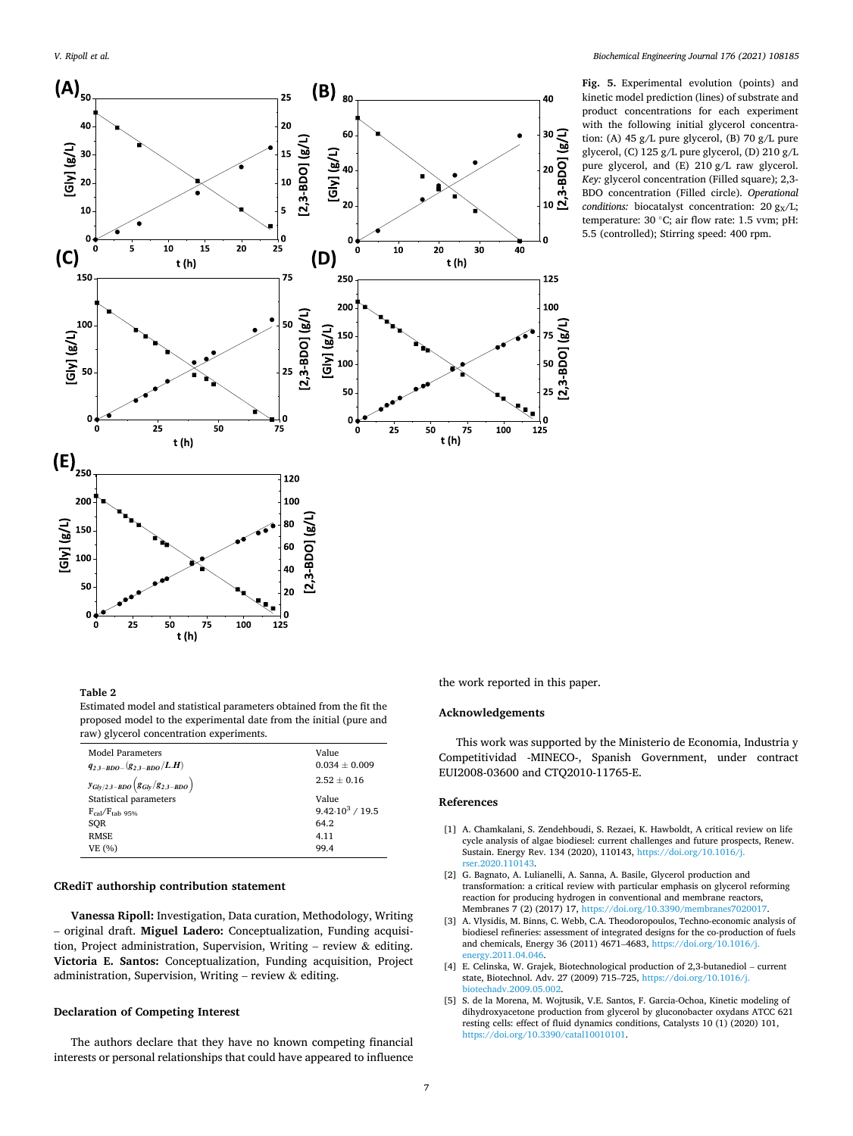<span id="page-6-0"></span>

**Fig. 5.** Experimental evolution (points) and kinetic model prediction (lines) of substrate and product concentrations for each experiment with the following initial glycerol concentration: (A) 45 g/L pure glycerol, (B) 70 g/L pure glycerol, (C) 125 g/L pure glycerol, (D) 210 g/L pure glycerol, and (E) 210 g/L raw glycerol. *Key:* glycerol concentration (Filled square); 2,3- BDO concentration (Filled circle). *Operational conditions:* biocatalyst concentration: 20 g<sub>X</sub>/L; temperature: 30 ◦C; air flow rate: 1.5 vvm; pH: 5.5 (controlled); Stirring speed: 400 rpm.

# **Table 2**

Estimated model and statistical parameters obtained from the fit the proposed model to the experimental date from the initial (pure and raw) glycerol concentration experiments.

| <b>Model Parameters</b>                             | Value                    |
|-----------------------------------------------------|--------------------------|
| $q_{2,3-BDO-}(g_{2,3-BDO}/L.H)$                     | $0.034 \pm 0.009$        |
| $y_{Gly/2,3-BDO}\left({g_{Gly}/g_{2,3-BDO}}\right)$ | $2.52 \pm 0.16$          |
| Statistical parameters                              | Value                    |
| $F_{cal}$ / $F_{tab}$ 95%                           | $9.42 \cdot 10^3 / 19.5$ |
| SOR                                                 | 64.2                     |
| <b>RMSE</b>                                         | 4.11                     |
| VE (%)                                              | 99.4                     |
|                                                     |                          |

# **CRediT authorship contribution statement**

**Vanessa Ripoll:** Investigation, Data curation, Methodology, Writing – original draft. **Miguel Ladero:** Conceptualization, Funding acquisition, Project administration, Supervision, Writing – review  $\&$  editing. **Victoria E. Santos:** Conceptualization, Funding acquisition, Project administration, Supervision, Writing – review & editing.

## **Declaration of Competing Interest**

The authors declare that they have no known competing financial interests or personal relationships that could have appeared to influence the work reported in this paper.

## **Acknowledgements**

This work was supported by the Ministerio de Economia, Industria y Competitividad -MINECO-, Spanish Government, under contract EUI2008-03600 and CTQ2010-11765-E.

### **References**

- [1] A. Chamkalani, S. Zendehboudi, S. Rezaei, K. Hawboldt, A critical review on life cycle analysis of algae biodiesel: current challenges and future prospects, Renew. Sustain. Energy Rev. 134 (2020), 110143, [https://doi.org/10.1016/j.](https://doi.org/10.1016/j.rser.2020.110143) rser.2020.1101
- [2] G. Bagnato, A. Lulianelli, A. Sanna, A. Basile, Glycerol production and transformation: a critical review with particular emphasis on glycerol reforming reaction for producing hydrogen in conventional and membrane reactors, Membranes 7 (2) (2017) 17, [https://doi.org/10.3390/membranes7020017.](https://doi.org/10.3390/membranes7020017)
- [3] A. Vlysidis, M. Binns, C. Webb, C.A. Theodoropoulos, Techno-economic analysis of biodiesel refineries: assessment of integrated designs for the co-production of fuels and chemicals, Energy 36 (2011) 4671–4683, [https://doi.org/10.1016/j.](https://doi.org/10.1016/j.energy.2011.04.046)  [energy.2011.04.046.](https://doi.org/10.1016/j.energy.2011.04.046)
- [4] E. Celinska, W. Grajek, Biotechnological production of 2,3-butanediol current state, Biotechnol. Adv. 27 (2009) 715–725, [https://doi.org/10.1016/j.](https://doi.org/10.1016/j.biotechadv.2009.05.002)  [biotechadv.2009.05.002.](https://doi.org/10.1016/j.biotechadv.2009.05.002)
- [5] S. de la Morena, M. Wojtusik, V.E. Santos, F. Garcia-Ochoa, Kinetic modeling of dihydroxyacetone production from glycerol by gluconobacter oxydans ATCC 621 resting cells: effect of fluid dynamics conditions, Catalysts 10 (1) (2020) 101, <https://doi.org/10.3390/catal10010101>.